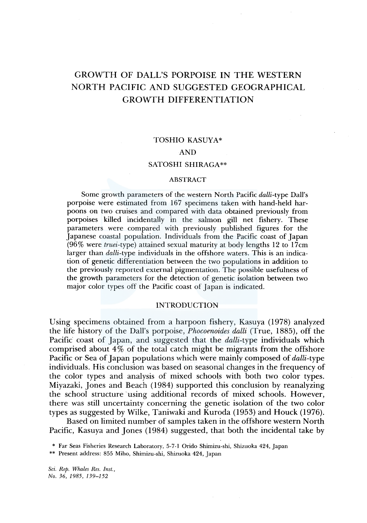# GROWTH OF DALL'S PORPOISE IN THE WESTERN NORTH PACIFIC AND SUGGESTED GEOGRAPHICAL GROWTH DIFFERENTIATION

# TOSHIO KASUYA\*

# AND

# SATOSHI SHIRAGA\*\*

## ABSTRACT

Some growth parameters of the western North Pacific *dalli-type* Dall's porpoise were estimated from 167 specimens taken with hand-held harpoons on two cruises and compared with data obtained previously from porpoises killed incidentally in the salmon gill net fishery. These parameters were compared with previously published figures for the Japanese coastal population. Individuals from the Pacific coast of Japan (96% were *truei-type)* attained sexual maturity at body lengths 12 to l 7cm larger than *dalli-type* individuals in the offshore waters. This is an indication of genetic differentiation between the two populations in addition to the previously reported external pigmentation. The possible usefulness of the growth parameters for the detection of genetic isolation between two major color types off the Pacific coast of Japan is indicated.

# INTRODUCTION

Using specimens obtained from a harpoon fishery, Kasuya (1978) analyzed the life history of the Dall's porpoise, *Phocoenoides dalli* (True, 1885), off the Pacific coast of Japan, and suggested that the *dalli-type* individuals which comprised about 4% of the total catch might be migrants from the offshore Pacific or Sea of Japan populations which were mainly composed of *dalli-type*  individuals. His conclusion was based on seasonal changes in the frequency of the color types and analysis of mixed schools with both two color types. Miyazaki, Jones and Beach (1984) supported this conclusion by reanalyzing the school structure 'using additional records of mixed schools. However, there was still uncertainty concerning the genetic isolation of the two color types as suggested by Wilke, Taniwaki and Kuroda (1953) and Houck (1976).

Based on limited number of samples taken in the offshore western North Pacific, Kasuya and Jones (1984) suggested, that both the incidental take by

\*\* Present address: 855 Miho, Shimizu-shi, Shizuoka 424, Japan

*Sci. Rep. Whales Res. Inst., No. 36, 1985, 139-152* 

<sup>\*</sup> Far Seas Fisheries Research Laboratory, 5-7-1 Orido Shimizu-shi, Shizuoka 424, Japan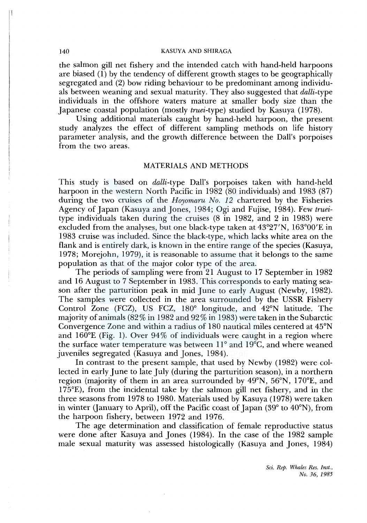the salmon gill net fishery and the intended catch with hand-held harpoons are biased ( **1)** by the tendency of different growth stages to be geographically segregated and (2) bow riding behaviour to be predominant among individuals between weaning and sexual maturity. They also suggested that *dalli-type*  individuals in the offshore waters mature at smaller body size than the Japanese coastal population (mostly *truei-type)* studied by Kasuya (1978).

Using additional materials caught by hand-held harpoon, the present study analyzes the effect of different sampling methods on life history parameter analysis, and the growth difference between the Dall's porpoises from the two areas.

# MATERIALS AND METHODS

This study is based on *dalli-type* Dall's porpoises taken with hand-held harpoon in the western North Pacific in 1982 (80 individuals) and 1983 (87) during the two cruises of the *Hoyomaru No. 12* chartered by the Fisheries Agency of Japan (Kasuya and Jones, 1984; Ogi and Fujise, 1984). Few *truei*type individuals taken during the cruises (8 in 1982, and 2 in 1983) were excluded from the analyses, but one black-type taken at 43°27'N, 163°00'E in 1983 cruise was included. Since the black-type, which lacks white area on the flank and is entirely dark, is known in the entire range of the species (Kasuya, 1978; Morejohn, 1979), it is reasonable to assume that it belongs to the same population as that of the major color type of the area.

The periods of sampling were from 21 August to 17 September in 1982 and 16 August to 7 September in 1983. This corresponds to early mating season after the parturition peak in mid June to early August (Newby, 1982). The samples were collected in the area surrounded by the USSR Fishery Control Zone (FCZ), US FCZ, 180° longitude, and 42°N latitude. The majority of animals (82% in 1982 and 92% in 1983) were taken in the Subarctic Convergence Zone and within a radius of 180 nautical miles centered at 45°N and 160°E (Fig. 1). Over 94% of individuals were caught in a region where the surface water temperature was between **11°** and **l** 9°C, and where weaned juveniles segregated (Kasuya and Jones, 1984).

In contrast to the present sample, that used by Newby (1982) were collected in early June to late July (during the parturition season), in a northern region (majority of them in an area surrounded by 49°N, 56°N, 170°E, and 175°E), from the incidental take by the salmon gill net fishery, and in the three seasons from 1978 to 1980. Materials used by Kasuya (1978) were taken in winter (January to April), off the Pacific coast of Japan (39° to 40°N), from the harpoon fishery, between 1972 and 1976.

The age determination and classification of female reproductive status were done after Kasuya and Jones (1984). In the case of the 1982 sample male sexual maturity was assessed histologically (Kasuya and Jones, 1984)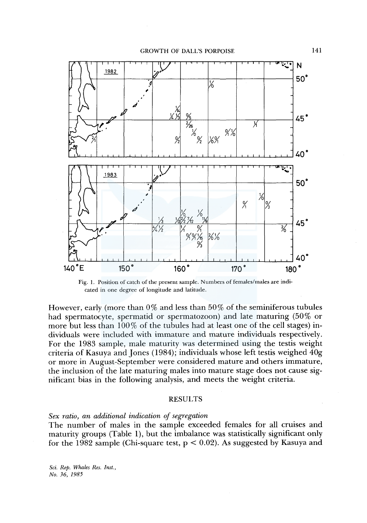GROWTH OF DALL'S PORPOISE



Fig. 1. Position of catch of the present sample. Numbers of females/males are indicated in one degree of longitude and latitude.

However, early (more than  $0\%$  and less than  $50\%$  of the seminiferous tubules had spermatocyte, spermatid or spermatozoon) and late maturing (50% or more but less than  $100\%$  of the tubules had at least one of the cell stages) individuals were included with immature and mature individuals respectively. For the 1983 sample, male maturity was determined using the testis weight criteria of Kasuya and Jones (1984); individuals whose left testis weighed 40g or more in August-September were considered mature and others immature, the inclusion of the late maturing males into mature stage does not cause significant bias in the following analysis, and meets the weight criteria.

#### RESULTS

# *Sex ratio, an additional indication of segregation*

The number of males in the sample exceeded females for all cruises and maturity groups (Table **1),** but the imbalance was statistically significant only for the 1982 sample (Chi-square test,  $p < 0.02$ ). As suggested by Kasuya and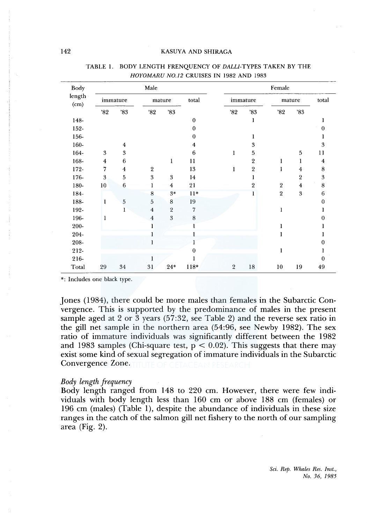| Body           |                         |                  | Male                    |                |                | Female         |                  |                  |                         |             |  |
|----------------|-------------------------|------------------|-------------------------|----------------|----------------|----------------|------------------|------------------|-------------------------|-------------|--|
| length<br>(cm) |                         | immature         |                         | mature         | total          | immature       |                  | mature           |                         | total       |  |
|                | '82                     | $^{\rm 783}$     | 32'                     | $^{\prime}83$  |                | 32'            | 3 <sup>83</sup>  | 82               | 83                      |             |  |
| 148-           |                         |                  |                         |                | $\bf{0}$       |                | ı                |                  |                         |             |  |
| 152-           |                         |                  |                         |                | $\mathbf{0}$   |                |                  |                  |                         | $\bf{0}$    |  |
| 156-           |                         |                  |                         |                | $\mathbf{0}$   |                | ı                |                  |                         |             |  |
| 160-           |                         | $\overline{4}$   |                         |                | 4              |                | 3                |                  |                         | 3           |  |
| 164-           | 3                       | $\boldsymbol{3}$ |                         |                | 6              | 1              | 5                |                  | 5                       | 11          |  |
| 168-           | $\overline{\mathbf{4}}$ | 6                |                         | $\mathbf{1}$   | 11             |                | $\boldsymbol{2}$ | 1                | ı                       | 4           |  |
| $172 -$        | 7                       | $\overline{4}$   | 2                       |                | 13             | 1              | $\boldsymbol{2}$ | 1                | $\overline{4}$          | 8           |  |
| 176-           | $\boldsymbol{3}$        | 5                | 3                       | 3              | 14             |                | 1                |                  | $\sqrt{2}$              | 3           |  |
| 180-           | 10                      | $\,$ 6 $\,$      | 1                       | $\overline{4}$ | 21             |                | 2                | $\sqrt{2}$       | $\overline{\mathbf{4}}$ | 8           |  |
| 184-           |                         |                  | 8                       | $3*$           | $11*$          |                | 1                | $\boldsymbol{2}$ | 3                       | 6           |  |
| 188-           | 1                       | $\mathbf 5$      | 5                       | 8              | 19             |                |                  |                  |                         | $\mathbf 0$ |  |
| 192-           |                         | 1                | $\overline{\mathbf{4}}$ | $\sqrt{2}$     | $\overline{7}$ |                |                  | 1                |                         |             |  |
| 196-           | 1                       |                  | $\boldsymbol{4}$        | 3              | $\,$ 8 $\,$    |                |                  |                  |                         | 0           |  |
| 200-           |                         |                  | 1                       |                |                |                |                  | 1                |                         |             |  |
| 204-           |                         |                  |                         |                |                |                |                  | 1                |                         |             |  |
| 208-           |                         |                  |                         |                |                |                |                  |                  |                         | 0           |  |
| 212-           |                         |                  |                         |                | 0              |                |                  | 1                |                         |             |  |
| 216-           |                         |                  |                         |                |                |                |                  |                  |                         | 0           |  |
| Total          | 29                      | 34               | 31                      | $24*$          | 118*           | $\overline{2}$ | 18               | 10               | 19                      | 49          |  |

#### TABLE 1. BODY LENGTH FRENQUENCY OF *DALLI-TYPES* TAKEN BY THE *HOYOMARU N0.12* CRUISES IN 1982 AND 1983

\*: Includes one black type.

Jones (1984), there could be more males than females in the Subarctic Convergence. This is supported by the predominance of males in the present sample aged at 2 or 3 years (57:32, see Table 2) and the reverse sex ratio in the gill net sample in the northern area (54:96, see Newby 1982). The sex ratio of immature individuals was significantly different between the 1982 and 1983 samples (Chi-square test,  $p < 0.02$ ). This suggests that there may exist some kind of sexual segregation of immature individuals in the Subarctic Convergence Zone.

## *Body length frequency*

Body length ranged from 148 to 220 cm. However, there were few individuals with body length less than 160 cm or above 188 cm (females) or 196 cm (males) (Table 1), despite the abundance of individuals in these size ranges in the catch of the salmon gill net fishery to the north of our sampling area (Fig. 2).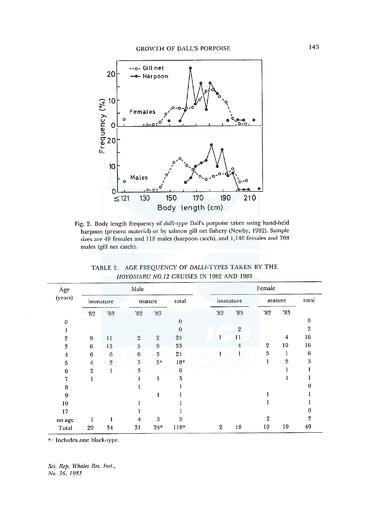

Fig. 2. Body length frequency of dalli-type Dall's porpoise taken using hand-held harpoon (present material) or by salmon gill net fishery (Newby, 1982). Sample sizes are 49 females and 118 males (harpoon catch), and 1,140 females and 708 males (gill net catch).

| Age          | Male           |                |                 |                |          |                | Female         |                |                |                |  |  |
|--------------|----------------|----------------|-----------------|----------------|----------|----------------|----------------|----------------|----------------|----------------|--|--|
| (years)      | immature       |                | mature          |                | total    |                | immature       |                | mature         |                |  |  |
|              | '82            | '83            | 32              | '83            |          | 82             | '83            | 32             | '83            |                |  |  |
| $\theta$     |                |                |                 |                | $\theta$ |                |                |                |                | 0              |  |  |
|              |                |                |                 |                | $\theta$ |                | $\overline{2}$ |                |                | $\overline{2}$ |  |  |
| $\mathbf{2}$ | 9              | $\mathbf{11}$  | $\overline{2}$  | $\overline{2}$ | 24       |                | 11             |                | 4              | 16             |  |  |
| 3            | 6              | 13             | 5               | 9              | 33       |                | 4              | $\overline{2}$ | 10             | 16             |  |  |
| 4            | 6              | $\,6\,$        | $6\phantom{.}6$ | 3              | 21       |                |                | 3              |                | 6              |  |  |
| 5            | 4              | $\overline{2}$ | 7               | $5*$           | $18*$    |                |                |                | $\overline{2}$ | 3              |  |  |
| 6            | $\overline{2}$ |                | 3               |                | 6        |                |                |                |                |                |  |  |
| 7            |                |                |                 | 1              | 3        |                |                |                |                |                |  |  |
| 8            |                |                |                 |                |          |                |                |                |                |                |  |  |
| 9            |                |                |                 |                |          |                |                |                |                |                |  |  |
| 10           |                |                |                 |                |          |                |                |                |                |                |  |  |
| 17           |                |                |                 |                |          |                |                |                |                |                |  |  |
| no age       |                |                | 4               | 3              | 9        |                |                | $\mathbf 2$    |                | 2              |  |  |
| Total        | 29             | 34             | 31              | $24*$          | $118*$   | $\overline{2}$ | 18             | 10             | 19             | 49             |  |  |

TABLE 2. AGE FREQUENCY OF DALLI-TYPES TAKEN BY THE HOYOMARU N0.12 CRUISES IN 1982 AND 1983

\*: Includes one black-type.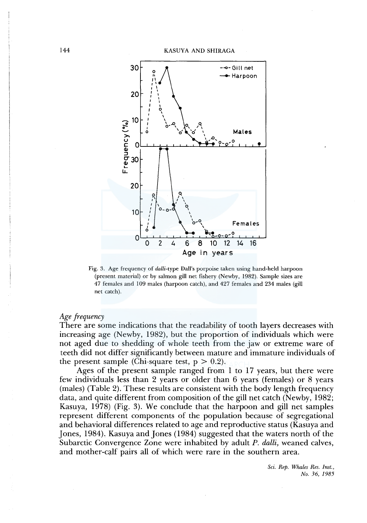

Fig. 3. Age frequency of *dalli-type* Dall's porpoise taken using hand-held harpoon (present material) or by salmon gill net fishery (Newby, 1982). Sample sizes are 47 females and 109 males (harpoon catch), and 427 females and 234 males (gill net catch).

# *Age frequency*

There are some indications that the readability of tooth layers decreases with increasing age (Newby, 1982), but the proportion of individuals which were not aged due to shedding of whole teeth from the jaw or extreme ware of teeth did not differ significantly between mature and immature individuals of the present sample (Chi-square test,  $p > 0.2$ ).

Ages of the present sample ranged from 1 to 17 years, but there were few individuals less than 2 years or older than 6 years (females) or 8 years (males) (Table 2). These results are consistent with the body length frequency data, and quite different from composition of the gill net catch (Newby, 1982; Kasuya, 1978) (Fig. 3). We conclude that the harpoon and gill net samples represent different components of the population because of segregational and behavioral differences related to age and reproductive status (Kasuya and Jones, 1984), Kasuya and Jones ( 1984) suggested that the waters north of the Subarctic Convergence Zone were inhabited by adult *P. dalli,* weaned calves, and mother-calf pairs all of which were rare in the southern area.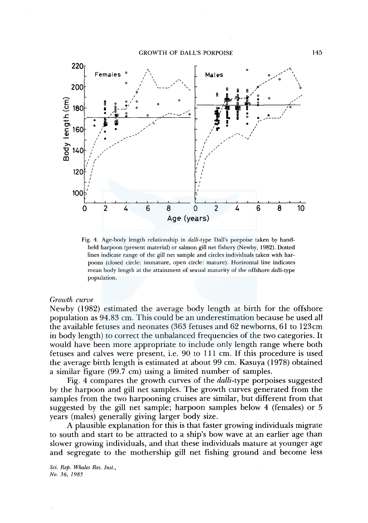

Fig. 4. Age-body length relationship in *dalli-type* Dall's porpoise taken by handheld harpoon (present material) or salmon gill net fishery (Newby, 1982). Dotted lines indicate range of the gill net sample and circles individuals taken with harpoons (closed circle: immature, open circle: mature). Horizontal line indicates mean body length at the attainment of sexual maturity of the offshore *dalli-type*  population.

# *Growth curve*

Newby ( 1982) estimated the average body length at birth for the offshore population as 94.83 cm. This could be an underestimation because he used all the available fetuses and neonates (363 fetuses and 62 newborns, 61 to 123cm in body length) to correct the unbalanced frequencies of the two categories. It would have been more appropriate to include only length range where both fetuses and calves were present, i.e. 90 to **111** cm. If this procedure is used the average birth length is estimated at about 99 cm. Kasuya ( 1978) obtained a similar figure (99.7 cm) using a limited number of samples.

Fig. 4 compares the growth curves of the *dalli-type* porpoises suggested by the harpoon and gill net samples. The growth curves generated from the samples from the two harpooning cruises are similar, but different from that suggested by the gill net sample; harpoon samples below 4 (females) or 5 years (males) generally giving larger body size.

A plausible explanation for this is that faster growing individuals migrate to south and start to be attracted to a ship's bow wave at an earlier age than slower growing individuals, and that these individuals mature at younger age and segregate to the mothership gill net fishing ground and become less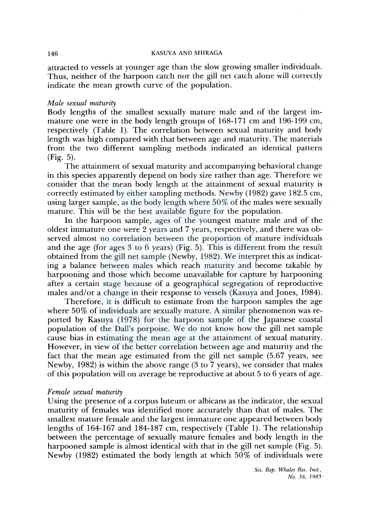attracted to vessels at younger age than the slow growing smaller individuals. Thus, neither of the harpoon catch nor the gill net catch alone will correctly indicate the mean growth curve of the population.

#### *Male sexual maturity*

Body lengths of the smallest sexually mature male and of the largest immature one were in the body length groups of 168-171 cm and 196-199 cm, respectively (Table 1). The correlation between sexual maturity and body length was high compared with that between age and maturity. The materials from the two different sampling methods indicated an identical pattern (Fig. 5).

The attainment of sexual maturity and accompanying behavioral change in this species apparently depend on body size rather than age. Therefore we consider that the mean body length at the attainment of sexual maturity is correctly estimated by either sampling methods. Newby (1982) gave 182.5 cm, using larger sample, as the body length where 50% of the males were sexually mature. This will be the best available figure for the population.

In the harpoon sample, ages of the youngest mature male and of the oldest immature one were 2 years and 7 years, respectively, and there was observed almost no correlation between the proportion of mature individuals and the age (for ages 3 to 6 years) (Fig. 5). This is different from the result obtained from the gill net sample (Newby, 1982). We interpret this as indicating a balance between males which reach maturity and become takable by harpooning and those which become unavailable for capture by harpooning after a certain stage because of a geographical segregation of reproductive males and/or a change in their response to vessels (Kasuya and Jones, 1984).

Therefore, it is difficult to estimate from the harpoon samples the age where 50% of individuals are sexually mature. A similar phenomenon was reported by Kasuya (1978) for the harpoon sample of the Japanese coastal population of the Dall's porpoise. We do not know how the gill net sample cause bias in estimating the mean age at the attainment of sexual maturity. However, in view of the better correlation between age and maturity and the fact that the mean age estimated from the gill net sample (5.67 years, see Newby, 1982) is within the above range (3 to 7 years), we consider that males of this population will on average be reproductive at about 5 to 6 years of age.

#### *Female sexual maturity*

Using the presence of a corpus luteum or albicans as the indicator, the sexual maturity of females was identified more accurately than that of males. The smallest mature female and the largest immature one appeared between body lengths of 164-167 and 184-187 cm, respectively (Table 1). The relationship between the percentage of sexually mature females and body length in the harpooned sample is almost identical with that in the gill net sample (Fig. 5). Newby  $(1982)$  estimated the body length at which 50% of individuals were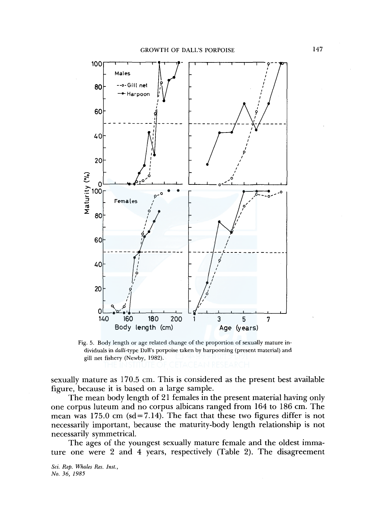

Fig. 5. Body length or age related change of the proportion of sexually mature individuals in *dalli-type* Dall's porpoise taken by harpooning (present material) and gill net fishery (Newby, 1982).

sexually mature as 170.5 cm. This is considered as the present best available figure, because it is based on a large sample.

The mean body length of 21 females in the present material having only one corpus luteum and no corpus albicans ranged from 164 to 186 cm. The mean was 175.0 cm ( $sd = 7.14$ ). The fact that these two figures differ is not necessarily important, because the maturity-body length relationship is not necessarily symmetrical.

The ages of the youngest sexually mature female and the oldest immature one were 2 and 4 years, respectively (Table 2). The disagreement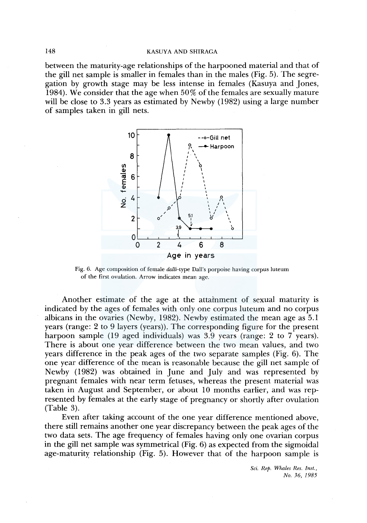between the maturity-age relationships of the harpooned material and that of the gill net sample is smaller in females than in the males (Fig. 5). The segregation by growth stage may be less intense in females (Kasuya and Jones, 1984). We consider that the age when 50% of the females are sexually mature will be close to 3.3 years as estimated by Newby (1982) using a large number of samples taken in gill nets.



Fig. 6. Age composition of female *dalli-type* Dall's porpoise having corpus luteum of the first ovulation. Arrow indicates mean age.

Another estimate of the age at the attainment of sexual maturity is indicated by the ages of females with only one corpus luteum and no corpus albicans in the ovaries (Newby, 1982). Newby estimated the mean age as 5.1 years (range: 2 to 9 layers (years)). The corresponding figure for the present harpoon sample (19 aged individuals) was 3.9 years (range: 2 to 7 years). There is about one year difference between the two mean values, and two years difference in the peak ages of the two separate samples (Fig. 6). The one year difference of the mean is reasonable because the gill net sample of Newby (1982) was obtained in June and July and was represented by pregnant females with near term fetuses, whereas the present material was taken in August and September, or about 10 months earlier, and was represented by females at the early stage of pregnancy or shortly after ovulation (Table 3).

Even after taking account of the one year difference mentioned above, there still remains another one year discrepancy between the peak ages of the two data sets. The age frequency of females having only one ovarian corpus in the gill net sample was symmetrical (Fig. 6) as expected from the sigmoidal age-maturity relationship (Fig. 5). However that of the harpoon sample is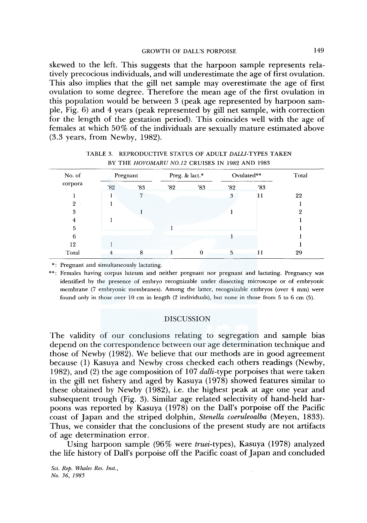skewed to the left. This suggests that the harpoon sample represents relatively precocious individuals, and will underestimate the age of first ovulation. This also implies that the gill net sample may overestimate the age of first ovulation to some degree. Therefore the mean age of the first ovulation in this population would be between 3 (peak age represented by harpoon sample, Fig. 6) and 4 years (peak represented by gill net sample, with correction for the length of the gestation period). This coincides well with the age of females at which 50% of the individuals are sexually mature estimated above (3.3 years, from Newby, 1982).

| No. of<br>corpora | Pregnant |     |     | Preg. & lact.* | Ovulated** | Total |    |
|-------------------|----------|-----|-----|----------------|------------|-------|----|
|                   | '82      | '83 | '82 | 83'            | 32'        | '83   |    |
|                   |          | 7   |     |                | 3          |       | 22 |
| 9                 |          |     |     |                |            |       |    |
| 3                 |          |     |     |                |            |       | ດ  |
|                   |          |     |     |                |            |       |    |
| 5                 |          |     |     |                |            |       |    |
| 6                 |          |     |     |                |            |       |    |
| 12                |          |     |     |                |            |       |    |
| Total             |          | 8   |     |                | 5          |       | 29 |

TABLE 3. REPRODUCTIVE STATUS OF ADULT *DALLl-TYPES* TAKEN BY THE *HOYOMARU N0.12* CRUISES IN 1982 AND 1983

\*: Pregnant and simultaneously lactating.

\*\*: Females having corpus luteum and neither pregnant nor pregnant and lactating. Pregnancy was identified by the presence of embryo recognizable under dissecting microscope or of embryonic membrane (7 embryonic membranes). Among the latter, recognizable embryos (over 4 mm) were found only in those over 10 cm in length (2 individuals), but none in those from 5 to 6 cm (5).

# DISCUSSION

The validity of our conclusions relating to segregation and sample bias depend on the correspondence between our age determination technique and those of Newby (1982). We believe that our methods are in good agreement because (1) Kasuya and Newby cross checked each others readings (Newby, 1982), and (2) the age composition of 107 *dalli-type* porpoises that were taken in the gill net fishery and aged by Kasuya ( 1978) showed features similar to these obtained by Newby (1982), i.e. the highest peak at age one year and subsequent trough (Fig. 3). Similar age related selectivity of hand-held harpoons was reported by Kasuya ( 1978) on the Dall's porpoise off the Pacific coast of Japan and the striped dolphin, *Stenella coeruleoalba* (Meyen, 1833). Thus, we consider that the conclusions of the present study are not artifacts of age determination error.

Using harpoon sample (96% were *truei-types),* Kasuya (1978) analyzed the life history of Dall's porpoise off the Pacific coast of Japan and concluded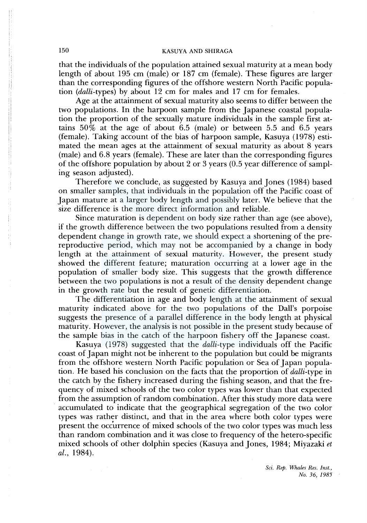that the individuals of the population attained sexual maturity at a mean body length of about 195 cm (male) or 187 cm (female). These figures are larger than the corresponding figures of the offshore western North Pacific population *(dalli-types)* by about 12 cm for males and 17 cm for females.

Age at the attainment of sexual maturity also seems to differ between the two populations. In the harpoon sample from the Japanese coastal population the proportion of the sexually mature individuals in the sample first attains  $50\%$  at the age of about 6.5 (male) or between 5.5 and 6.5 years (female). Taking account of the bias of harpoon sample, Kasuya ( 1978) estimated the mean ages at the attainment of sexual maturity as about 8 years (male) and 6.8 years (female). These are later than the corresponding figures of the offshore population by about 2 or 3 years (0.5 year difference of sampling season adjusted).

Therefore we conclude, as suggested by Kasuya and Jones (1984) based on smaller samples, that individuals in the population off the Pacific coast of Japan mature at a larger body length and possibly later. We believe that the size difference is the more direct information and reliable.

Since maturation is dependent on body size rather than age (see above), if the growth difference between the two populations resulted from a density dependent change in growth rate, we should expect a shortening of the prereproductive period, which may not be accompanied by a change in body length at the attainment of sexual maturity. However, the present study showed the different feature; maturation occurring at a lower age in the population of smaller body size. This suggests that the growth difference between the two populations is not a result of the density dependent change in the growth rate but the result of genetic differentiation.

The differentiation in age and body length at the attainment of sexual maturity indicated above for the two populations of the Dall's porpoise suggests the presence of a parallel difference in the body length at physical maturity. However, the analysis is not possible in the present study because of the sample bias in the catch of the harpoon fishery off the Japanese coast.

Kasuya (1978) suggested that the *dalli-type* individuals off the Pacific coast of Japan might not be inherent to the population but could be migrants from the offshore western North Pacific population or Sea of Japan population. He based his conclusion on the facts that the proportion of *dalli-type* in the catch by the fishery increased during the fishing season, and that the frequency of mixed schools of the two color types was lower than that expected from the assumption of random combination. After this study more data were accumulated to indicate that the geographical segregation of the two color types was rather distinct, and that in the area where both color types were present the occurrence of mixed schools of the two color types was much less than random combination and it was close to frequency of the hetero-specific mixed schools of other dolphin species (Kasuya and Jones, 1984; Miyazaki *et*  al., 1984).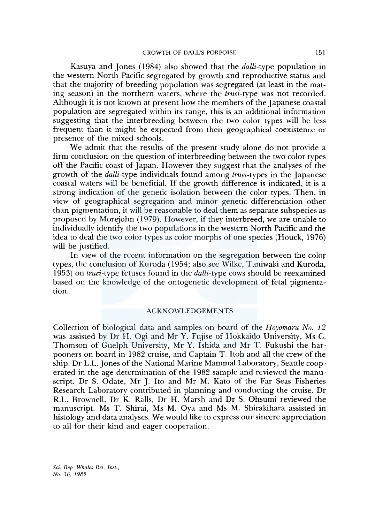Kasuya and Jones ( 1984) also showed that the *dalli-type* population in the western North Pacific segregated by growth and reproductive status and that the majority of breeding population was segregated (at least in the mating season) in the northern waters, where the *truei-type* was not recorded. Although it is not known at present how the members of the Japanese coastal population are segregated within its range, this is an additional information suggesting that the interbreeding between the two color types will be less frequent than it might be expected from their geographical coexistence or presence of the mixed schools.

We admit that the results of the present study alone do not provide a firm conclusion on the question of interbreeding between the two color types off the Pacific coast of Japan. However they suggest that the analyses of the growth of the *dalli-type* individuals found among *truei-types* in the Japanese coastal waters will be benefitial. If the growth difference is indicated, it is a strong indication of the genetic isolation between the color types. Then, in view of geographical segregation and minor genetic differenciation other than pigmentation, it will be reasonable to deal them as separate subspecies as proposed by Morejohn (1979). However, if they interbreed, we are unable to individually identify the two populations in the western North Pacific and the idea to deal the two color types as color morphs of one species (Houck, 1976) will be justified.

In view of the recent information on the segregation between the color types, the conclusion of Kuroda (1954; also see Wilke, Taniwaki and Kuroda, 1953) on *truei-type* fetuses found in the *dalli-type* cows should be reexamined based on the knowledge of the ontogenetic development of fetal pigmentation.

# ACKNOWLEDGEMENTS

Collection of biological data and samples on board of the *Hoyomaru No. 12*  was assisted by Dr H. Ogi and Mr Y. Fujise of Hokkaido University, Ms C. Thomson of Guelph University, Mr Y. Ishida and Mr T. Fukushi the harpooners on board in 1982 cruise, and Captain T. Itoh and all the crew of the ship. Dr L.L. Jones of the National Marine Mammal Laboratory, Seattle cooperated in the age determination of the 1982 sample and reviewed the manuscript. Dr S. Odate, Mr J. Ito and Mr M. Kato of the Far Seas Fisheries Research Laboratory contributed in planning and conducting the cruise. Dr R.L. Brownell, Dr K. Ralls, Dr H. Marsh and Dr S. Ohsumi reviewed the manuscript. Ms T. Shirai, Ms M. Oya and Ms M. Shirakihara assisted in histology and data analyses. We would like to express our sincere appreciation to all for their kind and eager cooperation.